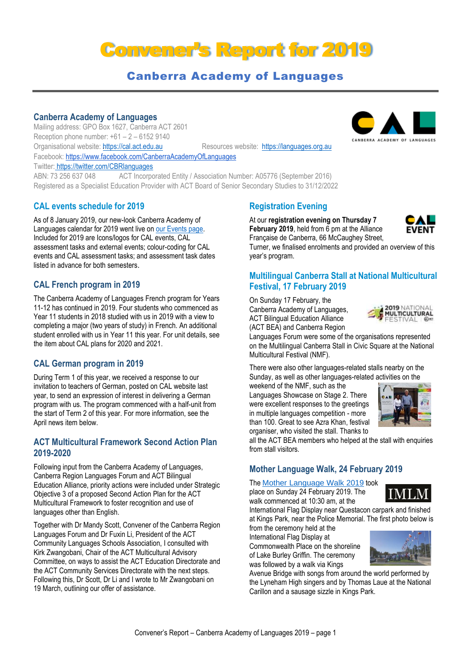# Convener's Report for 2019

# Canberra Academy of Languages

# **Canberra Academy of Languages**

Mailing address: GPO Box 1627, Canberra ACT 2601 Reception phone number:  $+61 - 2 - 61529140$ Organisational website: [https://cal.act.edu.au](https://cal.act.edu.au/) Resources website: [https://languages.org.au](https://languages.org.au/) Facebook: https://www.facebook.com/CanberraAcademyOfLanguages

Twitter: https://twitter.com/CBRlanguages

ABN: 73 256 637 048 ACT Incorporated Entity / Association Number: A05776 (September 2016) Registered as a Specialist Education Provider with ACT Board of Senior Secondary Studies to 31/12/2022

# **CAL events schedule for 2019**

As of 8 January 2019, our new-look Canberra Academy of Languages calendar for 2019 went live on [our Events page.](https://cal.act.edu.au/events.htm) Included for 2019 are Icons/logos for CAL events, CAL assessment tasks and external events; colour-coding for CAL events and CAL assessment tasks; and assessment task dates listed in advance for both semesters.

# **CAL French program in 2019**

The Canberra Academy of Languages French program for Years 11-12 has continued in 2019. Four students who commenced as Year 11 students in 2018 studied with us in 2019 with a view to completing a major (two years of study) in French. An additional student enrolled with us in Year 11 this year. For unit details, see the item about CAL plans for 2020 and 2021.

# **CAL German program in 2019**

During Term 1 of this year, we received a response to our invitation to teachers of German, posted on CAL website last year, to send an expression of interest in delivering a German program with us. The program commenced with a half-unit from the start of Term 2 of this year. For more information, see the April news item below.

#### **ACT Multicultural Framework Second Action Plan 2019-2020**

Following input from the Canberra Academy of Languages, Canberra Region Languages Forum and ACT Bilingual Education Alliance, priority actions were included under Strategic Objective 3 of a proposed Second Action Plan for the ACT Multicultural Framework to foster recognition and use of languages other than English.

Together with Dr Mandy Scott, Convener of the Canberra Region Languages Forum and Dr Fuxin Li, President of the ACT Community Languages Schools Association, I consulted with Kirk Zwangobani, Chair of the ACT Multicultural Advisory Committee, on ways to assist the ACT Education Directorate and the ACT Community Services Directorate with the next steps. Following this, Dr Scott, Dr Li and I wrote to Mr Zwangobani on 19 March, outlining our offer of assistance.

# **Registration Evening**

At our **registration evening on Thursday 7 February 2019**, held from 6 pm at the Alliance Française de Canberra, 66 McCaughey Street,



Turner, we finalised enrolments and provided an overview of this year's program.

# **Multilingual Canberra Stall at National Multicultural Festival, 17 February 2019**

On Sunday 17 February, the Canberra Academy of Languages, ACT Bilingual Education Alliance (ACT BEA) and Canberra Region



Languages Forum were some of the organisations represented on the Multilingual Canberra Stall in Civic Square at the National Multicultural Festival (NMF).

There were also other languages-related stalls nearby on the Sunday, as well as other languages-related activities on the

weekend of the NMF, such as the Languages Showcase on Stage 2. There were excellent responses to the greetings in multiple languages competition - more than 100. Great to see Azra Khan, festival organiser, who visited the stall. Thanks to



all the ACT BEA members who helped at the stall with enquiries from stall visitors.

# **Mother Language Walk, 24 February 2019**

The [Mother Language Walk 2019](https://cal.act.edu.au/docs/IMLM-ML-Walk-2019-Flier.pdf) took place on Sunday 24 February 2019. The walk commenced at 10:30 am, at the



International Flag Display near Questacon carpark and finished at Kings Park, near the Police Memorial. The first photo below is

from the ceremony held at the International Flag Display at Commonwealth Place on the shoreline of Lake Burley Griffin. The ceremony was followed by a walk via Kings



Avenue Bridge with songs from around the world performed by the Lyneham High singers and by Thomas Laue at the National Carillon and a sausage sizzle in Kings Park.

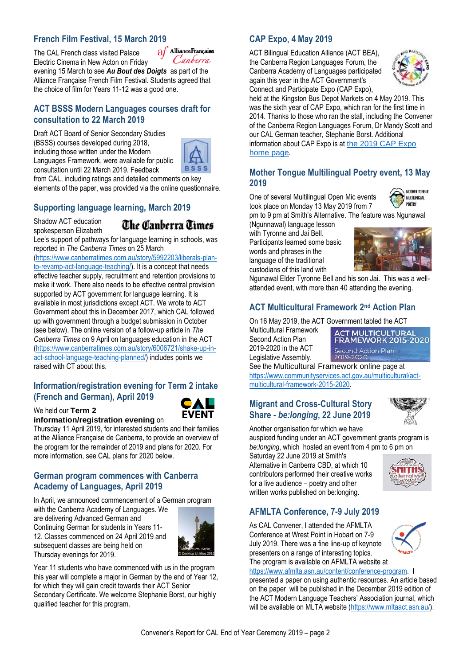# **French Film Festival, 15 March 2019**

 $A$ / AllianceFrançaise

The CAL French class visited Palace Canberra Electric Cinema in New Acton on Friday evening 15 March to see *Au Bout des Doigts* as part of the Alliance Française French Film Festival. Students agreed that the choice of film for Years 11-12 was a good one.

# **ACT BSSS Modern Languages courses draft for consultation to 22 March 2019**

Draft ACT Board of Senior Secondary Studies (BSSS) courses developed during 2018, including those written under the Modern Languages Framework, were available for public consultation until 22 March 2019. Feedback



from CAL, including ratings and detailed comments on key elements of the paper, was provided via the online questionnaire.

# **Supporting language learning, March 2019**

Shadow ACT education spokesperson Elizabeth

# The Canberra Times

Lee's support of pathways for language learning in schools, was reported in *The Canberra Times* on 25 March

[\(https://www.canberratimes.com.au/story/5992203/liberals-plan](https://www.canberratimes.com.au/story/5992203/liberals-plan-to-revamp-act-language-teaching/)[to-revamp-act-language-teaching/\)](https://www.canberratimes.com.au/story/5992203/liberals-plan-to-revamp-act-language-teaching/). It is a concept that needs effective teacher supply, recruitment and retention provisions to make it work. There also needs to be effective central provision supported by ACT government for language learning. It is available in most jurisdictions except ACT. We wrote to ACT Government about this in December 2017, which CAL followed up with government through a budget submission in October (see below). The online version of a follow-up article in *The Canberra Times* on 9 April on languages education in the ACT [\(https://www.canberratimes.com.au/story/6006721/shake-up-in](https://www.canberratimes.com.au/story/6006721/shake-up-in-act-school-language-teaching-planned/)[act-school-language-teaching-planned/\)](https://www.canberratimes.com.au/story/6006721/shake-up-in-act-school-language-teaching-planned/) includes points we raised with CT about this.

### **Information/registration evening for Term 2 intake (French and German), April 2019**

#### We held our **Term 2 information/registration evening** on



Thursday 11 April 2019, for interested students and their families at the Alliance Française de Canberra, to provide an overview of the program for the remainder of 2019 and plans for 2020. For more information, see CAL plans for 2020 below.

### **German program commences with Canberra Academy of Languages, April 2019**

In April, we announced commencement of a German program

with the Canberra Academy of Languages. We are delivering Advanced German and Continuing German for students in Years 11- 12. Classes commenced on 24 April 2019 and subsequent classes are being held on Thursday evenings for 2019.



Year 11 students who have commenced with us in the program this year will complete a major in German by the end of Year 12, for which they will gain credit towards their ACT Senior Secondary Certificate. We welcome Stephanie Borst, our highly qualified teacher for this program.

# **CAP Expo, 4 May 2019**

ACT Bilingual Education Alliance (ACT BEA), the Canberra Region Languages Forum, the Canberra Academy of Languages participated again this year in the ACT Government's Connect and Participate Expo (CAP Expo),



held at the Kingston Bus Depot Markets on 4 May 2019. This was the sixth year of CAP Expo, which ran for the first time in 2014. Thanks to those who ran the stall, including the Convener of the Canberra Region Languages Forum, Dr Mandy Scott and our CAL German teacher, Stephanie Borst. Additional information about CAP Expo is at [the 2019 CAP Expo](https://www.communityservices.act.gov.au/wac/community/connect-and-participate-expo)  [home page](https://www.communityservices.act.gov.au/wac/community/connect-and-participate-expo).

# **Mother Tongue Multilingual Poetry event, 13 May 2019**

One of several Multilingual Open Mic events took place on Monday 13 May 2019 from 7



pm to 9 pm at Smith's Alternative. The feature was Ngunawal

(Ngunnawal) language lesson with Tyronne and Jai Bell. Participants learned some basic words and phrases in the language of the traditional custodians of this land with



Ngunawal Elder Tyronne Bell and his son Jai. This was a wellattended event, with more than 40 attending the evening.

# **ACT Multicultural Framework 2nd Action Plan**

On 16 May 2019, the ACT Government tabled the ACT

Multicultural Framework Second Action Plan 2019-2020 in the ACT Legislative Assembly.

**ACT MULTICULTURAL FRAMEWORK 2015-2020** Second Action Plan<br>2019-2020

See the Multicultural Framework online page at

[https://www.communityservices.act.gov.au/multicultural/act](https://www.communityservices.act.gov.au/multicultural/act-multicultural-framework-2015-2020)[multicultural-framework-2015-2020.](https://www.communityservices.act.gov.au/multicultural/act-multicultural-framework-2015-2020)

# **Migrant and Cross-Cultural Story Share -** *be:longing***, 22 June 2019**



Another organisation for which we have auspiced funding under an ACT government grants program is

*be:longing*, which hosted an event from 4 pm to 6 pm on Saturday 22 June 2019 at Smith's

Alternative in Canberra CBD, at which 10 contributors performed their creative works for a live audience – poetry and other written works published on be:longing.



# **AFMLTA Conference, 7-9 July 2019**

As CAL Convener, I attended the AFMLTA Conference at Wrest Point in Hobart on 7-9 July 2019. There was a fine line-up of keynote presenters on a range of interesting topics. The program is available on AFMLTA website at

[https://www.afmlta.asn.au/content/conference-program.](https://www.afmlta.asn.au/content/conference-program) I presented a paper on using authentic resources. An article based on the paper will be published in the December 2019 edition of the ACT Modern Language Teachers' Association journal, which will be available on MLTA website [\(https://www.mltaact.asn.au/\)](https://www.mltaact.asn.au/).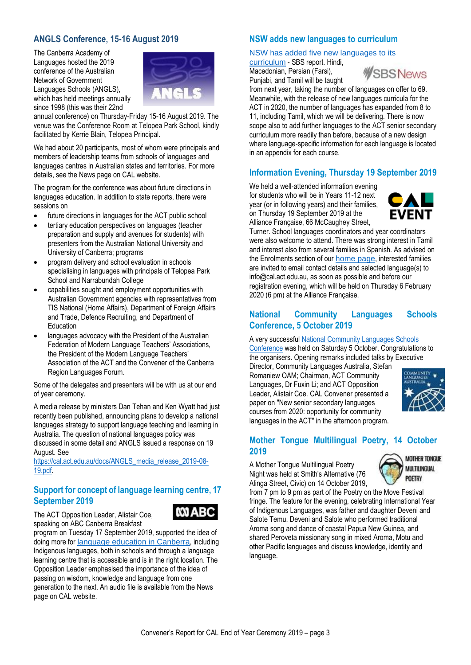# **ANGLS Conference, 15-16 August 2019**

The Canberra Academy of Languages hosted the 2019 conference of the Australian Network of Government Languages Schools (ANGLS), which has held meetings annually since 1998 (this was their 22nd



annual conference) on Thursday-Friday 15-16 August 2019. The venue was the Conference Room at Telopea Park School, kindly facilitated by Kerrie Blain, Telopea Principal.

We had about 20 participants, most of whom were principals and members of leadership teams from schools of languages and languages centres in Australian states and territories. For more details, see the News page on CAL website.

The program for the conference was about future directions in languages education. In addition to state reports, there were sessions on

- future directions in languages for the ACT public school
- tertiary education perspectives on languages (teacher preparation and supply and avenues for students) with presenters from the Australian National University and University of Canberra; programs
- program delivery and school evaluation in schools specialising in languages with principals of Telopea Park School and Narrabundah College
- capabilities sought and employment opportunities with Australian Government agencies with representatives from TIS National (Home Affairs), Department of Foreign Affairs and Trade, Defence Recruiting, and Department of Education
- languages advocacy with the President of the Australian Federation of Modern Language Teachers' Associations, the President of the Modern Language Teachers' Association of the ACT and the Convener of the Canberra Region Languages Forum.

Some of the delegates and presenters will be with us at our end of year ceremony.

A media release by ministers Dan Tehan and Ken Wyatt had just recently been published, announcing plans to develop a national languages strategy to support language teaching and learning in Australia. The question of national languages policy was discussed in some detail and ANGLS issued a response on 19 August. See

[https://cal.act.edu.au/docs/ANGLS\\_media\\_release\\_2019-08-](https://cal.act.edu.au/docs/ANGLS_media_release_2019-08-19.pdf) [19.pdf.](https://cal.act.edu.au/docs/ANGLS_media_release_2019-08-19.pdf)

### **Support for concept of language learning centre, 17 September 2019**

The ACT Opposition Leader, Alistair Coe, speaking on ABC Canberra Breakfast



#### **NSW adds new languages to curriculum**

[NSW has added five new languages to its](https://www.sbs.com.au/news/hindi-tamil-among-new-languages-to-be-taught-in-nsw-schools) 

[curriculum](https://www.sbs.com.au/news/hindi-tamil-among-new-languages-to-be-taught-in-nsw-schools) - SBS report. Hindi, Macedonian, Persian (Farsi),

Punjabi, and Tamil will be taught



from next year, taking the number of languages on offer to 69. Meanwhile, with the release of new languages curricula for the ACT in 2020, the number of languages has expanded from 8 to 11, including Tamil, which we will be delivering. There is now scope also to add further languages to the ACT senior secondary curriculum more readily than before, because of a new design where language-specific information for each language is located in an appendix for each course.

#### **Information Evening, Thursday 19 September 2019**

We held a well-attended information evening for students who will be in Years 11-12 next year (or in following years) and their families, on Thursday 19 September 2019 at the Alliance Française, 66 McCaughey Street,



Turner. School languages coordinators and year coordinators were also welcome to attend. There was strong interest in Tamil and interest also from several families in Spanish. As advised on the Enrolments section of our [home page](https://cal.act.edu.au/index.htm#enrolment), interested families are invited to email contact details and selected language(s) to info@cal.act.edu.au, as soon as possible and before our registration evening, which will be held on Thursday 6 February 2020 (6 pm) at the Alliance Française.

#### **National Community Languages Schools Conference, 5 October 2019**

A very successful [National Community Languages Schools](http://www.communitylanguagesaustralia.org.au/news/2019/08/16th-national-community-languages-schools-conference)  [Conference](http://www.communitylanguagesaustralia.org.au/news/2019/08/16th-national-community-languages-schools-conference) was held on Saturday 5 October. Congratulations to the organisers. Opening remarks included talks by Executive

Director, Community Languages Australia, Stefan Romaniew OAM; Chairman, ACT Community Languages, Dr Fuxin Li; and ACT Opposition Leader, Alistair Coe. CAL Convener presented a paper on "New senior secondary languages courses from 2020: opportunity for community languages in the ACT" in the afternoon program.



#### **Mother Tongue Multilingual Poetry, 14 October 2019**

A Mother Tongue Multilingual Poetry Night was held at Smith's Alternative (76 Alinga Street, Civic) on 14 October 2019,



from 7 pm to 9 pm as part of the Poetry on the Move Festival fringe. The feature for the evening, celebrating International Year of Indigenous Languages, was father and daughter Deveni and Salote Temu. Deveni and Salote who performed traditional Aroma song and dance of coastal Papua New Guinea, and shared Peroveta missionary song in mixed Aroma, Motu and other Pacific languages and discuss knowledge, identity and language.

MARC: